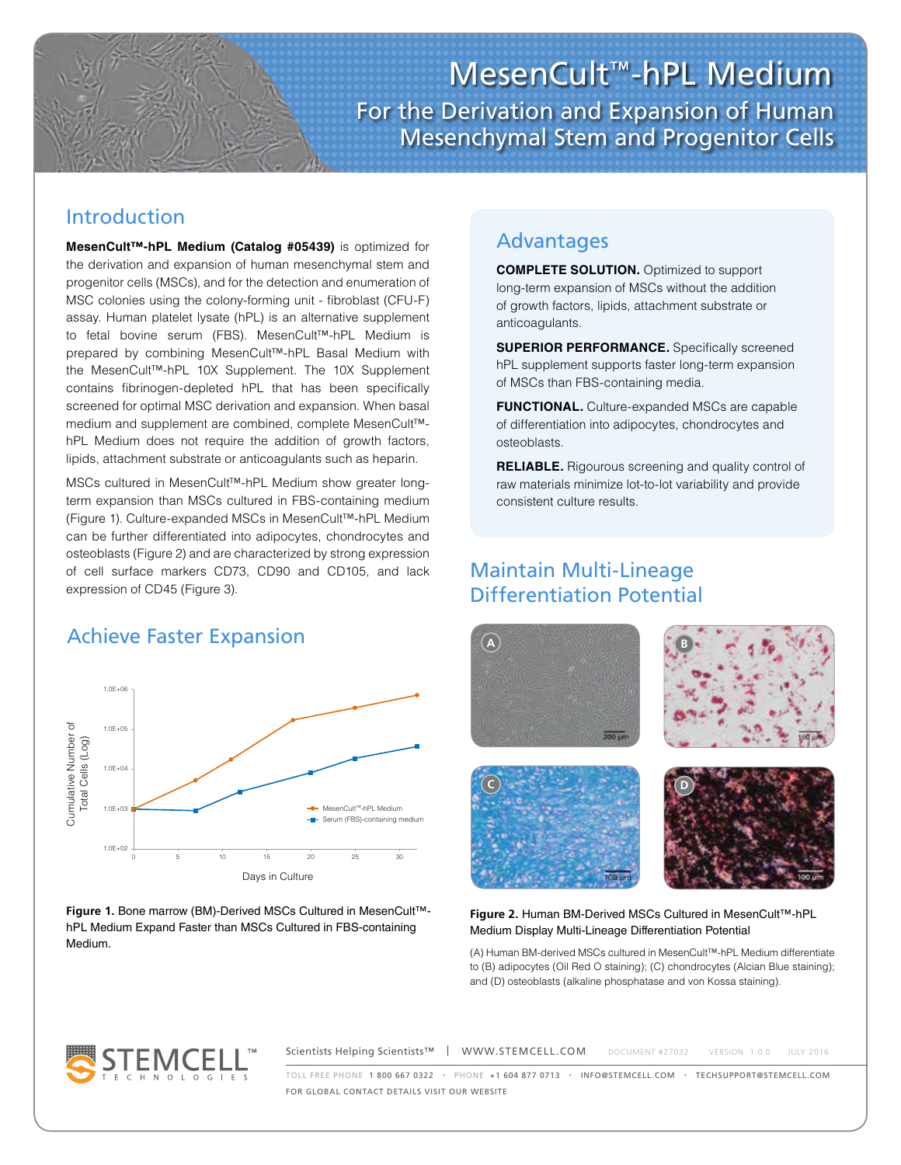MesenCult™-hPL Medium For the Derivation and Expansion of Human Mesenchymal Stem and Progenitor Cells

## Introduction

**MesenCult™-hPL Medium (Catalog #05439)** is optimized for the derivation and expansion of human mesenchymal stem and progenitor cells (MSCs), and for the detection and enumeration of MSC colonies using the colony-forming unit - fibroblast (CFU-F) assay. Human platelet lysate (hPL) is an alternative supplement to fetal bovine serum (FBS). MesenCult™-hPL Medium is prepared by combining MesenCult™-hPL Basal Medium with the MesenCult™-hPL 10X Supplement. The 10X Supplement contains fibrinogen-depleted hPL that has been specifically screened for optimal MSC derivation and expansion. When basal medium and supplement are combined, complete MesenCult™ hPL Medium does not require the addition of growth factors, lipids, attachment substrate or anticoagulants such as heparin.

MSCs cultured in MesenCult™-hPL Medium show greater longterm expansion than MSCs cultured in FBS-containing medium (Figure 1). Culture-expanded MSCs in MesenCult™-hPL Medium can be further differentiated into adipocytes, chondrocytes and osteoblasts (Figure 2) and are characterized by strong expression of cell surface markers CD73, CD90 and CD105, and lack expression of CD45 (Figure 3).

# Achieve Faster Expansion



#### **Figure 1.** Bone marrow (BM)-Derived MSCs Cultured in MesenCult™ hPL Medium Expand Faster than MSCs Cultured in FBS-containing Medium.

### Advantages

**COMPLETE SOLUTION.** Optimized to support long-term expansion of MSCs without the addition of growth factors, lipids, attachment substrate or anticoagulants.

**SUPERIOR PERFORMANCE.** Specifically screened hPL supplement supports faster long-term expansion of MSCs than FBS-containing media.

**FUNCTIONAL.** Culture-expanded MSCs are capable of differentiation into adipocytes, chondrocytes and osteoblasts.

**RELIABLE.** Rigourous screening and quality control of raw materials minimize lot-to-lot variability and provide consistent culture results.

### Maintain Multi-Lineage Differentiation Potential



#### **Figure 2.** Human BM-Derived MSCs Cultured in MesenCult™-hPL Medium Display Multi-Lineage Differentiation Potential

(A) Human BM-derived MSCs cultured in MesenCult™-hPL Medium differentiate to (B) adipocytes (Oil Red O staining); (C) chondrocytes (Alcian Blue staining); and (D) osteoblasts (alkaline phosphatase and von Kossa staining).



Scientists Helping Scientists™ | WWW.STEMCELL.COM DOCUMENT #27032 VERSION 1.0.0 JULY 2016 TOLL FREE PHONE 1 800 667 0322 • PHONE +1 604 877 0713 • INFO@STEMCELL.COM • TECHSUPPORT@STEMCELL.COM FOR GLOBAL CONTACT DETAILS VISIT OUR WEBSITE